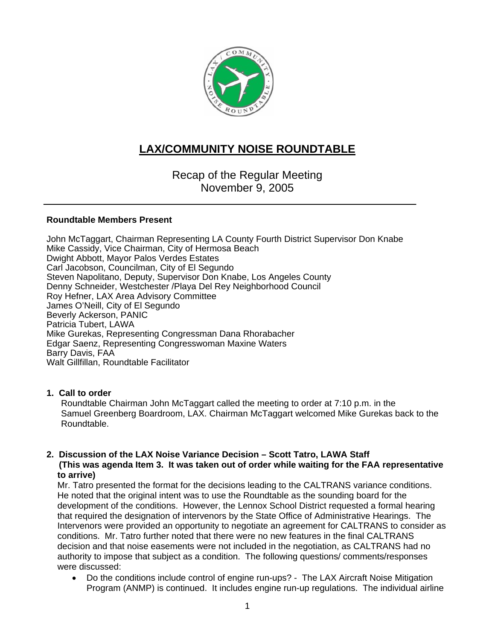

# **LAX/COMMUNITY NOISE ROUNDTABLE**

Recap of the Regular Meeting November 9, 2005

# **Roundtable Members Present**

John McTaggart, Chairman Representing LA County Fourth District Supervisor Don Knabe Mike Cassidy, Vice Chairman, City of Hermosa Beach Dwight Abbott, Mayor Palos Verdes Estates Carl Jacobson, Councilman, City of El Segundo Steven Napolitano, Deputy, Supervisor Don Knabe, Los Angeles County Denny Schneider, Westchester /Playa Del Rey Neighborhood Council Roy Hefner, LAX Area Advisory Committee James O'Neill, City of El Segundo Beverly Ackerson, PANIC Patricia Tubert, LAWA Mike Gurekas, Representing Congressman Dana Rhorabacher Edgar Saenz, Representing Congresswoman Maxine Waters Barry Davis, FAA Walt Gillfillan, Roundtable Facilitator

# **1. Call to order**

Roundtable Chairman John McTaggart called the meeting to order at 7:10 p.m. in the Samuel Greenberg Boardroom, LAX. Chairman McTaggart welcomed Mike Gurekas back to the Roundtable.

#### **2. Discussion of the LAX Noise Variance Decision – Scott Tatro, LAWA Staff (This was agenda Item 3. It was taken out of order while waiting for the FAA representative to arrive)**

Mr. Tatro presented the format for the decisions leading to the CALTRANS variance conditions. He noted that the original intent was to use the Roundtable as the sounding board for the development of the conditions. However, the Lennox School District requested a formal hearing that required the designation of intervenors by the State Office of Administrative Hearings. The Intervenors were provided an opportunity to negotiate an agreement for CALTRANS to consider as conditions. Mr. Tatro further noted that there were no new features in the final CALTRANS decision and that noise easements were not included in the negotiation, as CALTRANS had no authority to impose that subject as a condition. The following questions/ comments/responses were discussed:

• Do the conditions include control of engine run-ups? - The LAX Aircraft Noise Mitigation Program (ANMP) is continued. It includes engine run-up regulations. The individual airline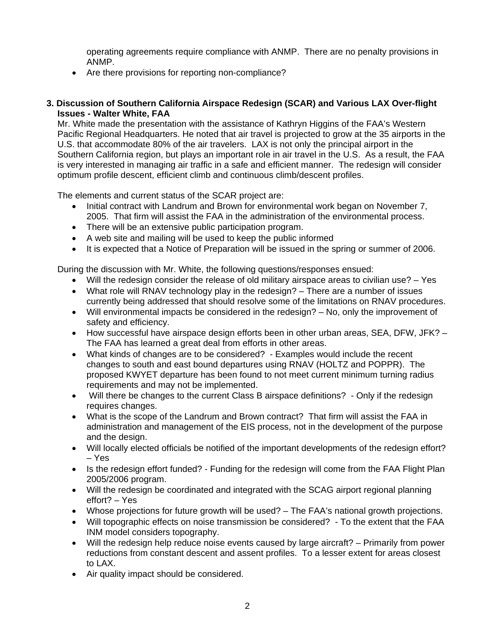operating agreements require compliance with ANMP. There are no penalty provisions in ANMP.

• Are there provisions for reporting non-compliance?

#### **3. Discussion of Southern California Airspace Redesign (SCAR) and Various LAX Over-flight Issues - Walter White, FAA**

Mr. White made the presentation with the assistance of Kathryn Higgins of the FAA's Western Pacific Regional Headquarters. He noted that air travel is projected to grow at the 35 airports in the U.S. that accommodate 80% of the air travelers. LAX is not only the principal airport in the Southern California region, but plays an important role in air travel in the U.S. As a result, the FAA is very interested in managing air traffic in a safe and efficient manner. The redesign will consider optimum profile descent, efficient climb and continuous climb/descent profiles.

The elements and current status of the SCAR project are:

- Initial contract with Landrum and Brown for environmental work began on November 7, 2005. That firm will assist the FAA in the administration of the environmental process.
- There will be an extensive public participation program.
- A web site and mailing will be used to keep the public informed
- It is expected that a Notice of Preparation will be issued in the spring or summer of 2006.

During the discussion with Mr. White, the following questions/responses ensued:

- Will the redesign consider the release of old military airspace areas to civilian use? Yes
- What role will RNAV technology play in the redesign? There are a number of issues currently being addressed that should resolve some of the limitations on RNAV procedures.
- Will environmental impacts be considered in the redesign? No, only the improvement of safety and efficiency.
- How successful have airspace design efforts been in other urban areas, SEA, DFW, JFK? The FAA has learned a great deal from efforts in other areas.
- What kinds of changes are to be considered? Examples would include the recent changes to south and east bound departures using RNAV (HOLTZ and POPPR). The proposed KWYET departure has been found to not meet current minimum turning radius requirements and may not be implemented.
- Will there be changes to the current Class B airspace definitions? Only if the redesign requires changes.
- What is the scope of the Landrum and Brown contract? That firm will assist the FAA in administration and management of the EIS process, not in the development of the purpose and the design.
- Will locally elected officials be notified of the important developments of the redesign effort? – Yes
- Is the redesign effort funded? Funding for the redesign will come from the FAA Flight Plan 2005/2006 program.
- Will the redesign be coordinated and integrated with the SCAG airport regional planning effort? – Yes
- Whose projections for future growth will be used? The FAA's national growth projections.
- Will topographic effects on noise transmission be considered? To the extent that the FAA INM model considers topography.
- Will the redesign help reduce noise events caused by large aircraft? Primarily from power reductions from constant descent and assent profiles. To a lesser extent for areas closest to LAX.
- Air quality impact should be considered.